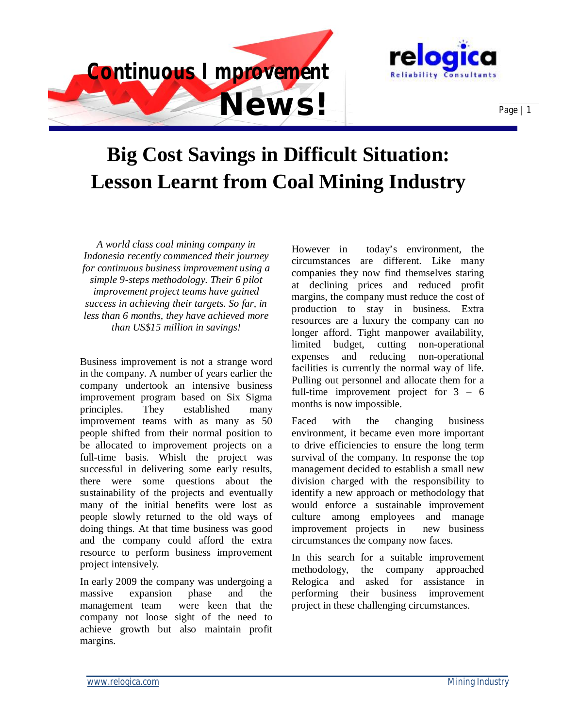



## **Big Cost Savings in Difficult Situation: Lesson Learnt from Coal Mining Industry**

*A world class coal mining company in Indonesia recently commenced their journey for continuous business improvement using a simple 9-steps methodology. Their 6 pilot improvement project teams have gained success in achieving their targets. So far, in less than 6 months, they have achieved more than US\$15 million in savings!* 

Business improvement is not a strange word in the company. A number of years earlier the company undertook an intensive business improvement program based on Six Sigma principles. They established many improvement teams with as many as 50 people shifted from their normal position to be allocated to improvement projects on a full-time basis. Whislt the project was successful in delivering some early results, there were some questions about the sustainability of the projects and eventually many of the initial benefits were lost as people slowly returned to the old ways of doing things. At that time business was good and the company could afford the extra resource to perform business improvement project intensively.

In early 2009 the company was undergoing a massive expansion phase and the management team were keen that the company not loose sight of the need to achieve growth but also maintain profit margins.

However in today's environment, the circumstances are different. Like many companies they now find themselves staring at declining prices and reduced profit margins, the company must reduce the cost of production to stay in business. Extra resources are a luxury the company can no longer afford. Tight manpower availability, limited budget, cutting non-operational expenses and reducing non-operational facilities is currently the normal way of life. Pulling out personnel and allocate them for a full-time improvement project for 3 – 6 months is now impossible.

Faced with the changing business environment, it became even more important to drive efficiencies to ensure the long term survival of the company. In response the top management decided to establish a small new division charged with the responsibility to identify a new approach or methodology that would enforce a sustainable improvement culture among employees and manage improvement projects in new business circumstances the company now faces.

In this search for a suitable improvement methodology, the company approached Relogica and asked for assistance in performing their business improvement project in these challenging circumstances.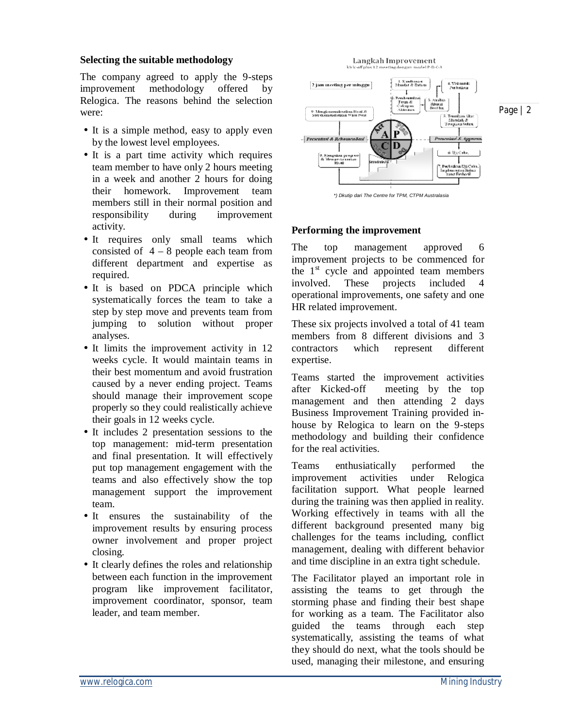## **Selecting the suitable methodology**

The company agreed to apply the 9-steps improvement methodology offered by Relogica. The reasons behind the selection were:

- It is a simple method, easy to apply even by the lowest level employees.
- It is a part time activity which requires team member to have only 2 hours meeting in a week and another 2 hours for doing their homework. Improvement team members still in their normal position and responsibility during improvement activity.
- It requires only small teams which consisted of  $4 - 8$  people each team from different department and expertise as required.
- It is based on PDCA principle which systematically forces the team to take a step by step move and prevents team from jumping to solution without proper analyses.
- It limits the improvement activity in 12 weeks cycle. It would maintain teams in their best momentum and avoid frustration caused by a never ending project. Teams should manage their improvement scope properly so they could realistically achieve their goals in 12 weeks cycle.
- It includes 2 presentation sessions to the top management: mid-term presentation and final presentation. It will effectively put top management engagement with the teams and also effectively show the top management support the improvement team.
- It ensures the sustainability of the improvement results by ensuring process owner involvement and proper project closing.
- It clearly defines the roles and relationship between each function in the improvement program like improvement facilitator, improvement coordinator, sponsor, team leader, and team member.



*\*) Dkutip dari The Centre for TPM, CTPM Australasia* 

## **Performing the improvement**

The top management approved 6 improvement projects to be commenced for the  $1<sup>st</sup>$  cycle and appointed team members involved. These projects included operational improvements, one safety and one HR related improvement.

These six projects involved a total of 41 team members from 8 different divisions and 3 contractors which represent different expertise.

Teams started the improvement activities after Kicked-off meeting by the top management and then attending 2 days Business Improvement Training provided inhouse by Relogica to learn on the 9-steps methodology and building their confidence for the real activities.

Teams enthusiatically performed the improvement activities under Relogica facilitation support. What people learned during the training was then applied in reality. Working effectively in teams with all the different background presented many big challenges for the teams including, conflict management, dealing with different behavior and time discipline in an extra tight schedule.

The Facilitator played an important role in assisting the teams to get through the storming phase and finding their best shape for working as a team. The Facilitator also guided the teams through each step systematically, assisting the teams of what they should do next, what the tools should be used, managing their milestone, and ensuring

Page | 2